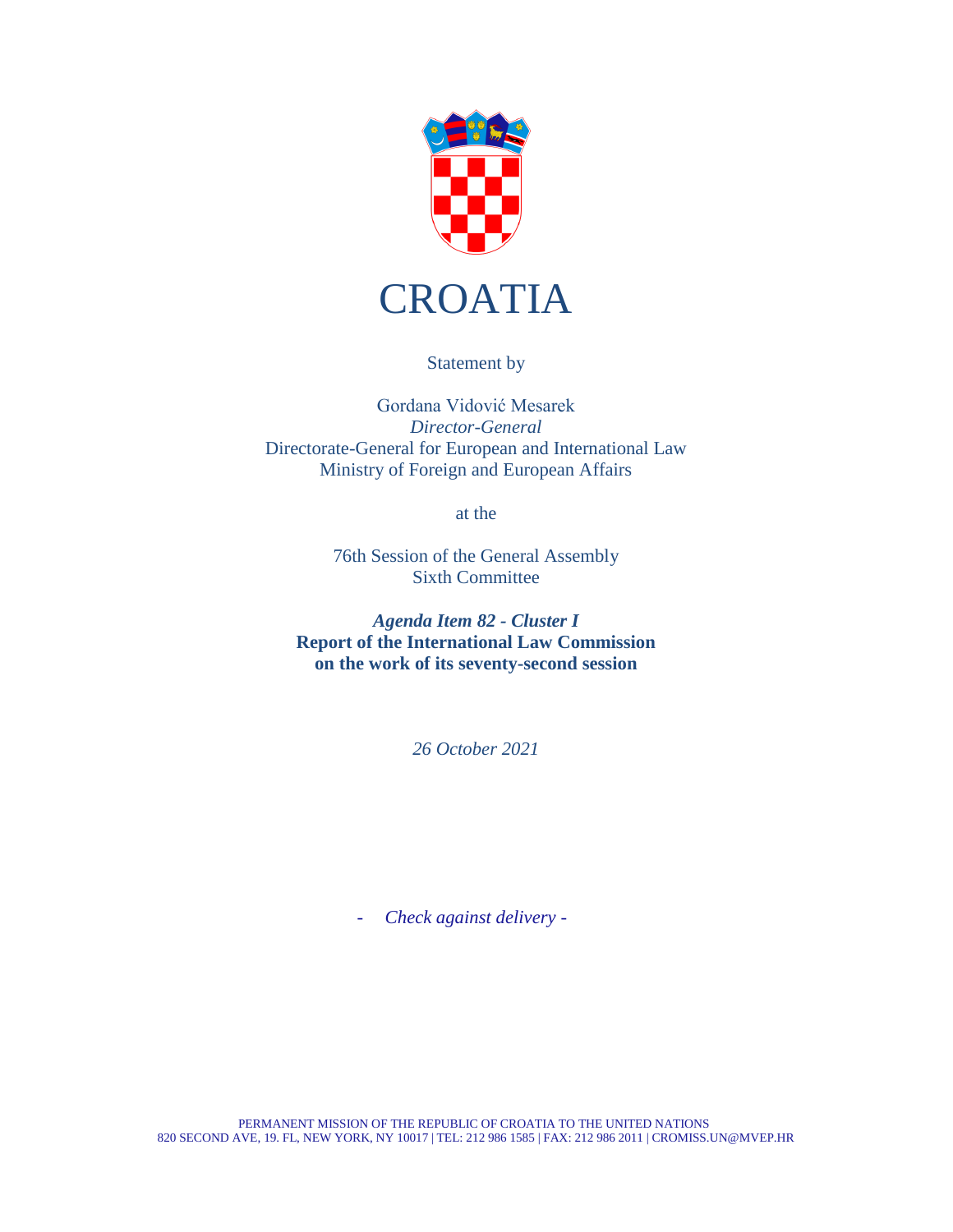

Statement by

Gordana Vidović Mesarek *Director-General* Directorate-General for European and International Law Ministry of Foreign and European Affairs

at the

76th Session of the General Assembly Sixth Committee

*Agenda Item 82 - Cluster I* **Report of the International Law Commission on the work of its seventy-second session**

*26 October 2021*

- *Check against delivery -*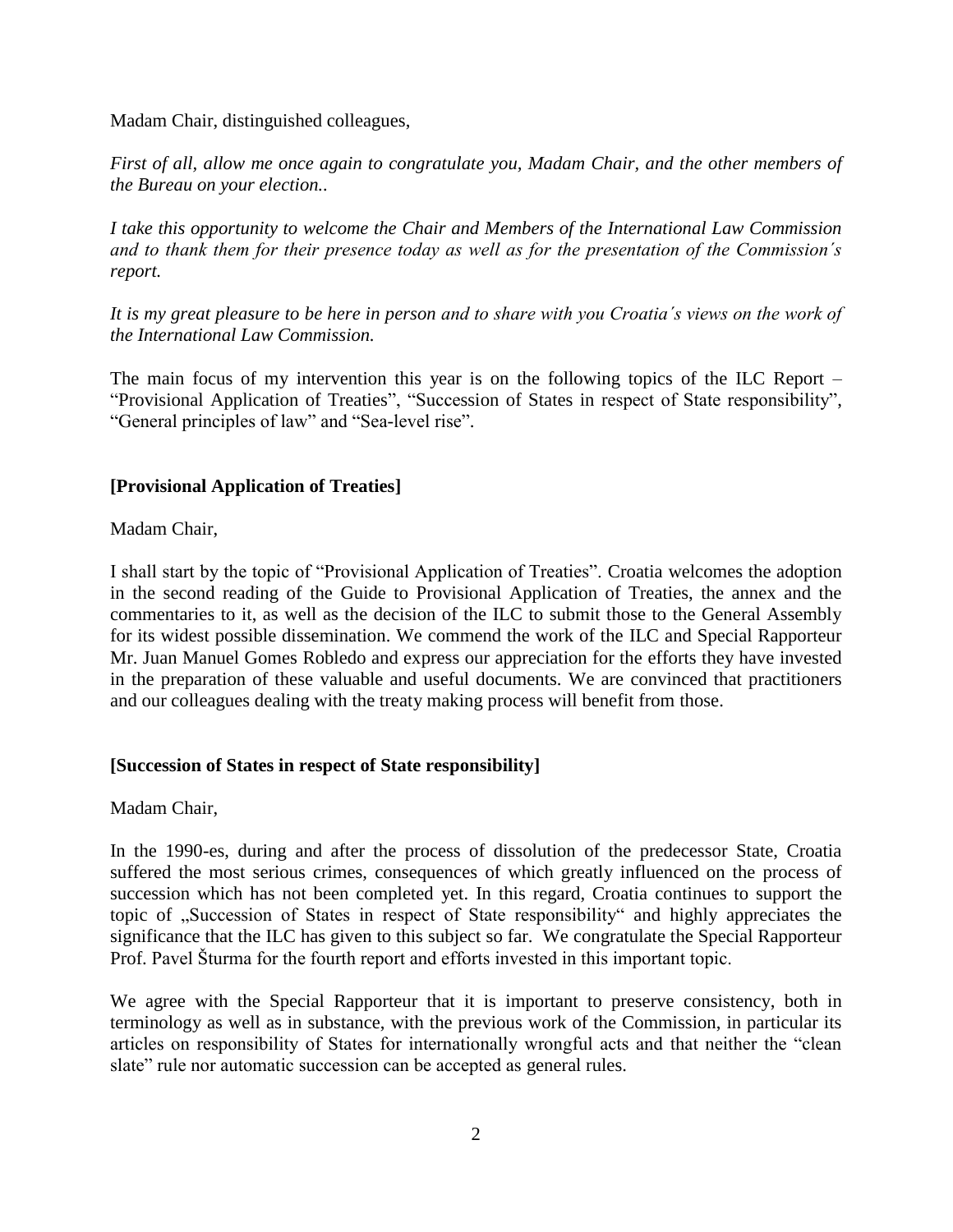Madam Chair, distinguished colleagues,

*First of all, allow me once again to congratulate you, Madam Chair, and the other members of the Bureau on your election..* 

*I take this opportunity to welcome the Chair and Members of the International Law Commission and to thank them for their presence today as well as for the presentation of the Commission´s report.*

*It is my great pleasure to be here in person and to share with you Croatia´s views on the work of the International Law Commission.*

The main focus of my intervention this year is on the following topics of the ILC Report – "Provisional Application of Treaties", "Succession of States in respect of State responsibility", "General principles of law" and "Sea-level rise".

# **[Provisional Application of Treaties]**

Madam Chair,

I shall start by the topic of "Provisional Application of Treaties". Croatia welcomes the adoption in the second reading of the Guide to Provisional Application of Treaties, the annex and the commentaries to it, as well as the decision of the ILC to submit those to the General Assembly for its widest possible dissemination. We commend the work of the ILC and Special Rapporteur Mr. Juan Manuel Gomes Robledo and express our appreciation for the efforts they have invested in the preparation of these valuable and useful documents. We are convinced that practitioners and our colleagues dealing with the treaty making process will benefit from those.

# **[Succession of States in respect of State responsibility]**

Madam Chair,

In the 1990-es, during and after the process of dissolution of the predecessor State, Croatia suffered the most serious crimes, consequences of which greatly influenced on the process of succession which has not been completed yet. In this regard, Croatia continues to support the topic of "Succession of States in respect of State responsibility" and highly appreciates the significance that the ILC has given to this subject so far. We congratulate the Special Rapporteur Prof. Pavel Šturma for the fourth report and efforts invested in this important topic.

We agree with the Special Rapporteur that it is important to preserve consistency, both in terminology as well as in substance, with the previous work of the Commission, in particular its articles on responsibility of States for internationally wrongful acts and that neither the "clean slate" rule nor automatic succession can be accepted as general rules.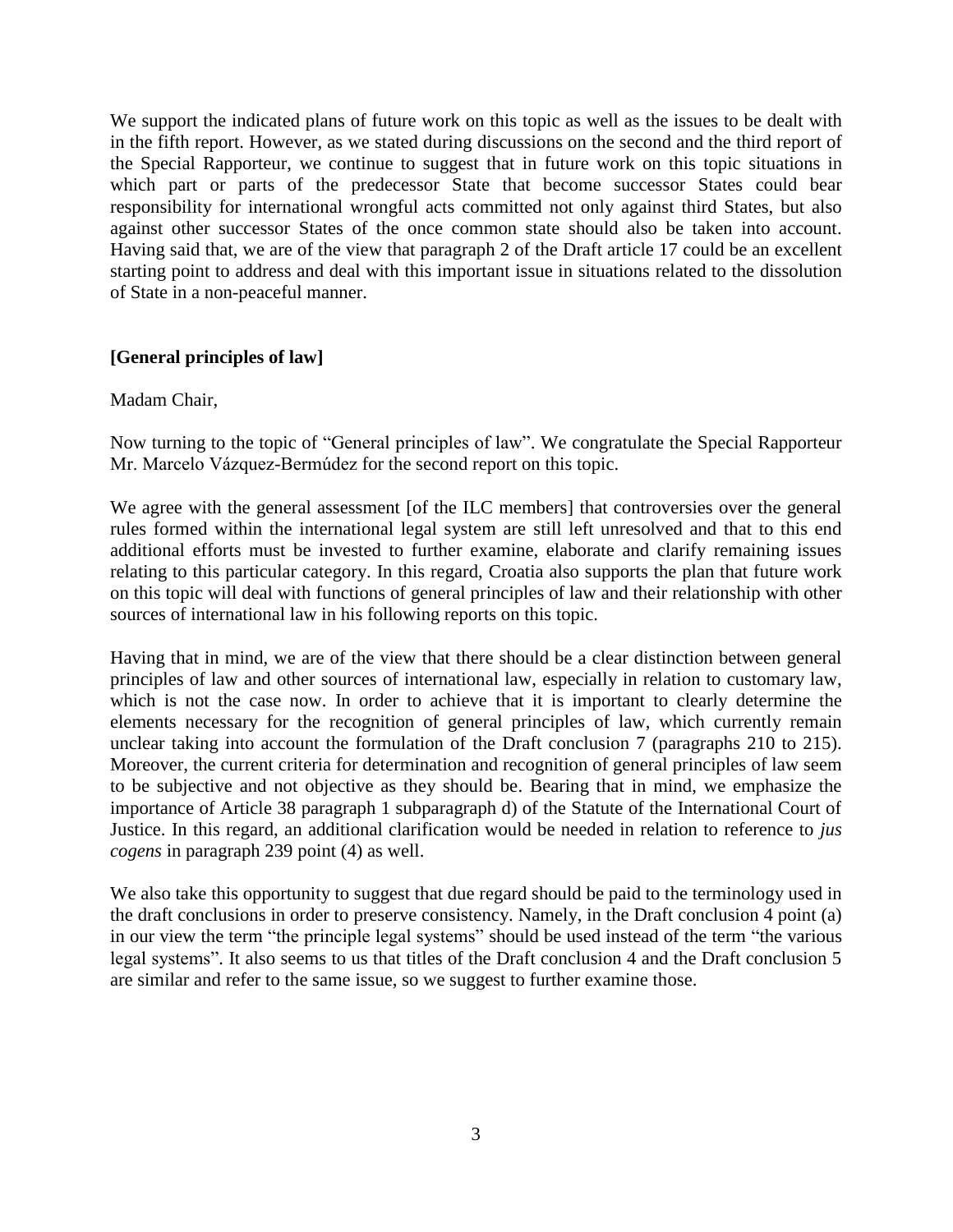We support the indicated plans of future work on this topic as well as the issues to be dealt with in the fifth report. However, as we stated during discussions on the second and the third report of the Special Rapporteur, we continue to suggest that in future work on this topic situations in which part or parts of the predecessor State that become successor States could bear responsibility for international wrongful acts committed not only against third States, but also against other successor States of the once common state should also be taken into account. Having said that, we are of the view that paragraph 2 of the Draft article 17 could be an excellent starting point to address and deal with this important issue in situations related to the dissolution of State in a non-peaceful manner.

## **[General principles of law]**

#### Madam Chair,

Now turning to the topic of "General principles of law". We congratulate the Special Rapporteur Mr. Marcelo Vázquez-Bermúdez for the second report on this topic.

We agree with the general assessment [of the ILC members] that controversies over the general rules formed within the international legal system are still left unresolved and that to this end additional efforts must be invested to further examine, elaborate and clarify remaining issues relating to this particular category. In this regard, Croatia also supports the plan that future work on this topic will deal with functions of general principles of law and their relationship with other sources of international law in his following reports on this topic.

Having that in mind, we are of the view that there should be a clear distinction between general principles of law and other sources of international law, especially in relation to customary law, which is not the case now. In order to achieve that it is important to clearly determine the elements necessary for the recognition of general principles of law, which currently remain unclear taking into account the formulation of the Draft conclusion 7 (paragraphs 210 to 215). Moreover, the current criteria for determination and recognition of general principles of law seem to be subjective and not objective as they should be. Bearing that in mind, we emphasize the importance of Article 38 paragraph 1 subparagraph d) of the Statute of the International Court of Justice. In this regard, an additional clarification would be needed in relation to reference to *jus cogens* in paragraph 239 point (4) as well.

We also take this opportunity to suggest that due regard should be paid to the terminology used in the draft conclusions in order to preserve consistency. Namely, in the Draft conclusion 4 point (a) in our view the term "the principle legal systems" should be used instead of the term "the various legal systems". It also seems to us that titles of the Draft conclusion 4 and the Draft conclusion 5 are similar and refer to the same issue, so we suggest to further examine those.